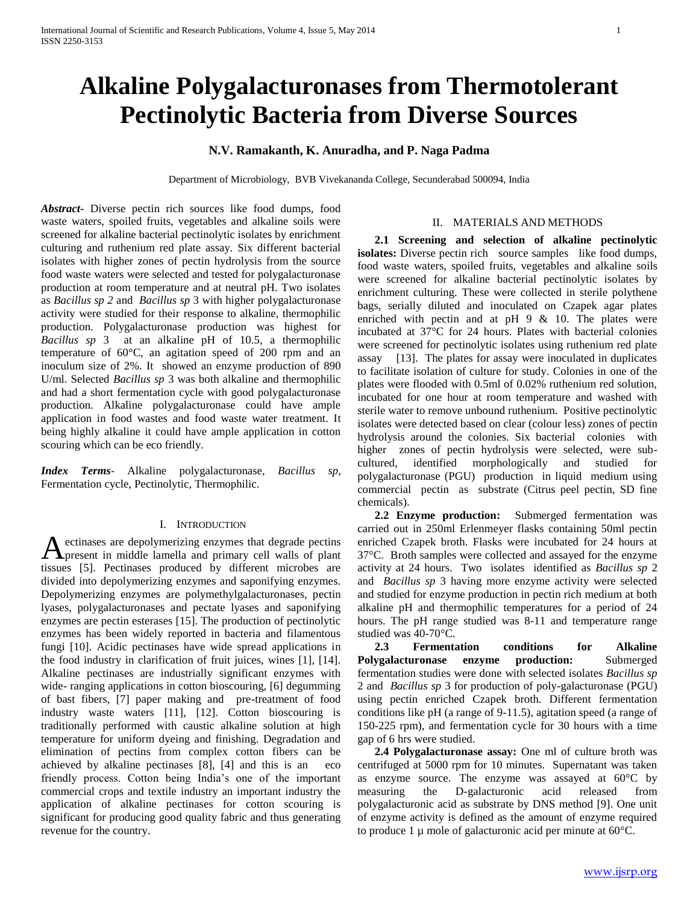# **Alkaline Polygalacturonases from Thermotolerant Pectinolytic Bacteria from Diverse Sources**

## **N.V. Ramakanth, K. Anuradha, and P. Naga Padma**

Department of Microbiology, BVB Vivekananda College, Secunderabad 500094, India

*Abstract***-** Diverse pectin rich sources like food dumps, food waste waters, spoiled fruits, vegetables and alkaline soils were screened for alkaline bacterial pectinolytic isolates by enrichment culturing and ruthenium red plate assay. Six different bacterial isolates with higher zones of pectin hydrolysis from the source food waste waters were selected and tested for polygalacturonase production at room temperature and at neutral pH. Two isolates as *Bacillus sp 2* and *Bacillus sp* 3 with higher polygalacturonase activity were studied for their response to alkaline, thermophilic production. Polygalacturonase production was highest for *Bacillus sp* 3 at an alkaline pH of 10.5, a thermophilic temperature of 60°C, an agitation speed of 200 rpm and an inoculum size of 2%. It showed an enzyme production of 890 U/ml. Selected *Bacillus sp* 3 was both alkaline and thermophilic and had a short fermentation cycle with good polygalacturonase production. Alkaline polygalacturonase could have ample application in food wastes and food waste water treatment. It being highly alkaline it could have ample application in cotton scouring which can be eco friendly.

*Index Terms*- Alkaline polygalacturonase, *Bacillus sp*, Fermentation cycle, Pectinolytic, Thermophilic.

## I. INTRODUCTION

ectinases are depolymerizing enzymes that degrade pectins A ectinases are depolymerizing enzymes that degrade pectins<br>present in middle lamella and primary cell walls of plant tissues [5]. Pectinases produced by different microbes are divided into depolymerizing enzymes and saponifying enzymes. Depolymerizing enzymes are polymethylgalacturonases, pectin lyases, polygalacturonases and pectate lyases and saponifying enzymes are pectin esterases [15]. The production of pectinolytic enzymes has been widely reported in bacteria and filamentous fungi [10]. Acidic pectinases have wide spread applications in the food industry in clarification of fruit juices, wines [1], [14]. Alkaline pectinases are industrially significant enzymes with wide- ranging applications in cotton bioscouring, [6] degumming of bast fibers, [7] paper making and pre-treatment of food industry waste waters [11], [12]. Cotton bioscouring is traditionally performed with caustic alkaline solution at high temperature for uniform dyeing and finishing. Degradation and elimination of pectins from complex cotton fibers can be achieved by alkaline pectinases [8], [4] and this is an eco friendly process. Cotton being India's one of the important commercial crops and textile industry an important industry the application of alkaline pectinases for cotton scouring is significant for producing good quality fabric and thus generating revenue for the country.

## II. MATERIALS AND METHODS

 **2.1 Screening and selection of alkaline pectinolytic isolates:** Diverse pectin rich source samples like food dumps, food waste waters, spoiled fruits, vegetables and alkaline soils were screened for alkaline bacterial pectinolytic isolates by enrichment culturing. These were collected in sterile polythene bags, serially diluted and inoculated on Czapek agar plates enriched with pectin and at  $pH$  9  $\&$  10. The plates were incubated at 37°C for 24 hours. Plates with bacterial colonies were screened for pectinolytic isolates using ruthenium red plate assay [13]. The plates for assay were inoculated in duplicates to facilitate isolation of culture for study. Colonies in one of the plates were flooded with 0.5ml of 0.02% ruthenium red solution, incubated for one hour at room temperature and washed with sterile water to remove unbound ruthenium. Positive pectinolytic isolates were detected based on clear (colour less) zones of pectin hydrolysis around the colonies. Six bacterial colonies with higher zones of pectin hydrolysis were selected, were subcultured, identified morphologically and studied for polygalacturonase (PGU) production in liquid medium using commercial pectin as substrate (Citrus peel pectin, SD fine chemicals).

 **2.2 Enzyme production:** Submerged fermentation was carried out in 250ml Erlenmeyer flasks containing 50ml pectin enriched Czapek broth. Flasks were incubated for 24 hours at 37°C. Broth samples were collected and assayed for the enzyme activity at 24 hours. Two isolates identified as *Bacillus sp* 2 and *Bacillus sp* 3 having more enzyme activity were selected and studied for enzyme production in pectin rich medium at both alkaline pH and thermophilic temperatures for a period of 24 hours. The pH range studied was 8-11 and temperature range studied was 40-70°C.

 **2.3 Fermentation conditions for Alkaline Polygalacturonase enzyme production:** Submerged fermentation studies were done with selected isolates *Bacillus sp* 2 and *Bacillus sp* 3 for production of poly-galacturonase (PGU) using pectin enriched Czapek broth. Different fermentation conditions like pH (a range of 9-11.5), agitation speed (a range of 150-225 rpm), and fermentation cycle for 30 hours with a time gap of 6 hrs were studied.

 **2.4 Polygalacturonase assay:** One ml of culture broth was centrifuged at 5000 rpm for 10 minutes. Supernatant was taken as enzyme source. The enzyme was assayed at 60°C by measuring the D-galacturonic acid released from polygalacturonic acid as substrate by DNS method [9]. One unit of enzyme activity is defined as the amount of enzyme required to produce 1  $\mu$  mole of galacturonic acid per minute at 60 $\degree$ C.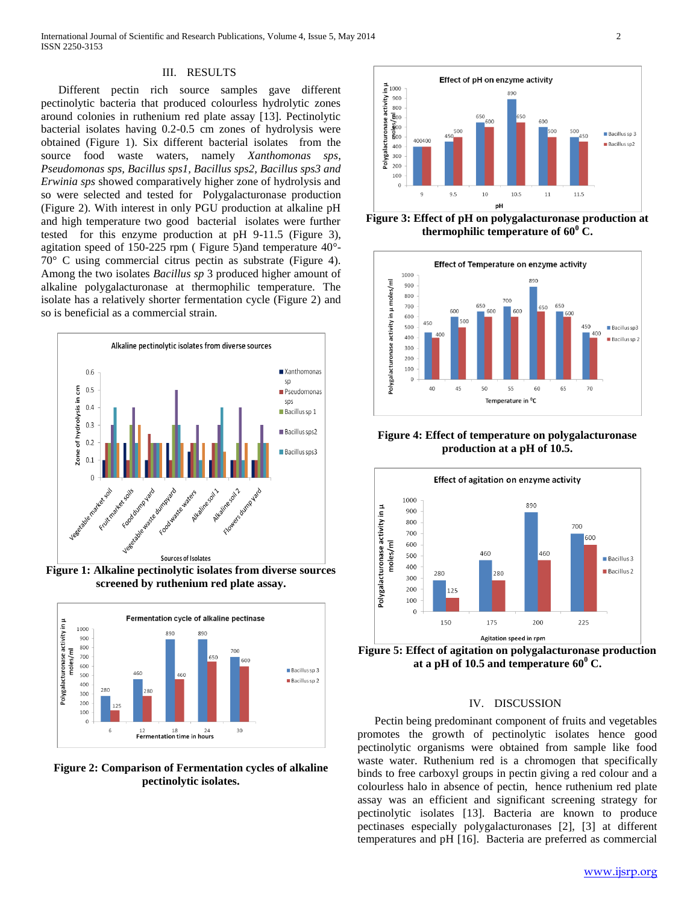## III. RESULTS

Different pectin rich source samples gave different pectinolytic bacteria that produced colourless hydrolytic zones around colonies in ruthenium red plate assay [13]. Pectinolytic bacterial isolates having 0.2-0.5 cm zones of hydrolysis were obtained (Figure 1). Six different bacterial isolates from the source food waste waters, namely *Xanthomonas sps*, *Pseudomonas sps, Bacillus sps1, Bacillus sps2, Bacillus sps3 and Erwinia sps* showed comparatively higher zone of hydrolysis and so were selected and tested for Polygalacturonase production (Figure 2). With interest in only PGU production at alkaline pH and high temperature two good bacterial isolates were further tested for this enzyme production at pH 9-11.5 (Figure 3), agitation speed of 150-225 rpm ( Figure 5)and temperature 40°- 70° C using commercial citrus pectin as substrate (Figure 4). Among the two isolates *Bacillus sp* 3 produced higher amount of alkaline polygalacturonase at thermophilic temperature. The isolate has a relatively shorter fermentation cycle (Figure 2) and so is beneficial as a commercial strain.



**Figure 1: Alkaline pectinolytic isolates from diverse sources screened by ruthenium red plate assay.**



**Figure 2: Comparison of Fermentation cycles of alkaline pectinolytic isolates.**



**Figure 3: Effect of pH on polygalacturonase production at thermophilic temperature of**  $60^{\circ}$  **C.** 



**Figure 4: Effect of temperature on polygalacturonase production at a pH of 10.5.**



**Figure 5: Effect of agitation on polygalacturonase production**  at a pH of 10.5 and temperature  $60^{\circ}$  C.

## IV. DISCUSSION

Pectin being predominant component of fruits and vegetables promotes the growth of pectinolytic isolates hence good pectinolytic organisms were obtained from sample like food waste water. Ruthenium red is a chromogen that specifically binds to free carboxyl groups in pectin giving a red colour and a colourless halo in absence of pectin, hence ruthenium red plate assay was an efficient and significant screening strategy for pectinolytic isolates [13]. Bacteria are known to produce pectinases especially polygalacturonases [2], [3] at different temperatures and pH [16]. Bacteria are preferred as commercial